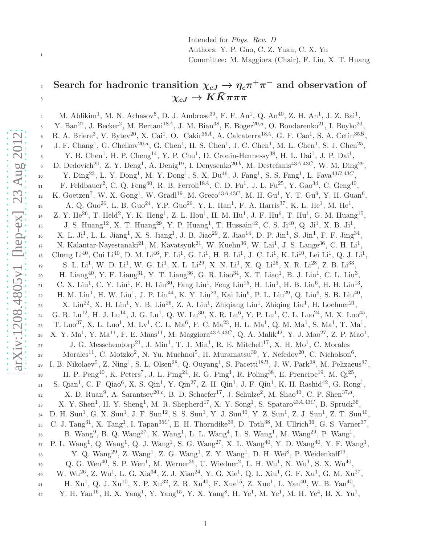Intended for Phys. Rev. D Authors: Y. P. Guo, C. Z. Yuan, C. X. Yu Committee: M. Maggiora (Chair), F. Liu, X. T. Huang

# Search for hadronic transition  $\chi_{cJ}\to\eta_c\pi^+\pi^-$  and observation of  $\chi_{cJ}$  Search for hadronic transition  $\chi_{cJ} \rightarrow \eta_{c}$ <sup>3</sup>

M. Ablikim<sup>1</sup>, M. N. Achasov<sup>5</sup>, D. J. Ambrose<sup>39</sup>, F. F. An<sup>1</sup>, Q. An<sup>40</sup>, Z. H. An<sup>1</sup>, J. Z. Bai<sup>1</sup>, 4 Y. Ban<sup>27</sup>, J. Becker<sup>2</sup>, M. Bertani<sup>18A</sup>, J. M. Bian<sup>38</sup>, E. Boger<sup>20,a</sup>, O. Bondarenko<sup>21</sup>, I. Boyko<sup>20</sup>, 5 R. A. Briere<sup>3</sup>, V. Bytev<sup>20</sup>, X. Cai<sup>1</sup>, O. Cakir<sup>35A</sup>, A. Calcaterra<sup>18A</sup>, G. F. Cao<sup>1</sup>, S. A. Cetin<sup>35B</sup>, 6 J. F. Chang<sup>1</sup>, G. Chelkov<sup>20,a</sup>, G. Chen<sup>1</sup>, H. S. Chen<sup>1</sup>, J. C. Chen<sup>1</sup>, M. L. Chen<sup>1</sup>, S. J. Chen<sup>25</sup>, 7 Y. B. Chen<sup>1</sup>, H. P. Cheng<sup>14</sup>, Y. P. Chu<sup>1</sup>, D. Cronin-Hennessy<sup>38</sup>, H. L. Dai<sup>1</sup>, J. P. Dai<sup>1</sup>, 8 D. Dedovich<sup>20</sup>, Z. Y. Deng<sup>1</sup>, A. Denig<sup>19</sup>, I. Denysenko<sup>20,b</sup>, M. Destefanis<sup>43A,43C</sup>, W. M. Ding<sup>29</sup>, 9 10 Y. Ding<sup>23</sup>, L. Y. Dong<sup>1</sup>, M. Y. Dong<sup>1</sup>, S. X. Du<sup>46</sup>, J. Fang<sup>1</sup>, S. S. Fang<sup>1</sup>, L. Fava<sup>43B,43C</sup>, 11 F. Feldbauer<sup>2</sup>, C. Q. Feng<sup>40</sup>, R. B. Ferroli<sup>18A</sup>, C. D. Fu<sup>1</sup>, J. L. Fu<sup>25</sup>, Y. Gao<sup>34</sup>, C. Geng<sup>40</sup>, K. Goetzen<sup>7</sup>, W. X. Gong<sup>1</sup>, W. Gradl<sup>19</sup>, M. Greco<sup>43A,43C</sup>, M. H. Gu<sup>1</sup>, Y. T. Gu<sup>9</sup>, Y. H. Guan<sup>6</sup>, 12 A. Q. Guo<sup>26</sup>, L. B. Guo<sup>24</sup>, Y.P. Guo<sup>26</sup>, Y. L. Han<sup>1</sup>, F. A. Harris<sup>37</sup>, K. L. He<sup>1</sup>, M. He<sup>1</sup>, 13 14 Z. Y. He<sup>26</sup>, T. Held<sup>2</sup>, Y. K. Heng<sup>1</sup>, Z. L. Hou<sup>1</sup>, H. M. Hu<sup>1</sup>, J. F. Hu<sup>6</sup>, T. Hu<sup>1</sup>, G. M. Huang<sup>15</sup>, J. S. Huang<sup>12</sup>, X. T. Huang<sup>29</sup>, Y. P. Huang<sup>1</sup>, T. Hussain<sup>42</sup>, C. S. Ji<sup>40</sup>, Q. Ji<sup>1</sup>, X. B. Ji<sup>1</sup>, 15 16 X. L. Ji<sup>1</sup>, L. L. Jiang<sup>1</sup>, X. S. Jiang<sup>1</sup>, J. B. Jiao<sup>29</sup>, Z. Jiao<sup>14</sup>, D. P. Jin<sup>1</sup>, S. Jin<sup>1</sup>, F. F. Jing<sup>34</sup>, N. Kalantar-Nayestanaki<sup>21</sup>, M. Kavatsyuk<sup>21</sup>, W. Kuehn<sup>36</sup>, W. Lai<sup>1</sup>, J. S. Lange<sup>36</sup>, C. H. Li<sup>1</sup>, 17 Cheng Li<sup>40</sup>, Cui Li<sup>40</sup>, D. M. Li<sup>46</sup>, F. Li<sup>1</sup>, G. Li<sup>1</sup>, H. B. Li<sup>1</sup>, J. C. Li<sup>1</sup>, K. Li<sup>10</sup>, Lei Li<sup>1</sup>, Q. J. Li<sup>1</sup>, 18 19 S. L. Li<sup>1</sup>, W. D. Li<sup>1</sup>, W. G. Li<sup>1</sup>, X. L. Li<sup>29</sup>, X. N. Li<sup>1</sup>, X. Q. Li<sup>26</sup>, X. R. Li<sup>28</sup>, Z. B. Li<sup>33</sup>, H. Liang<sup>40</sup>, Y. F. Liang<sup>31</sup>, Y. T. Liang<sup>36</sup>, G. R. Liao<sup>34</sup>, X. T. Liao<sup>1</sup>, B. J. Liu<sup>1</sup>, C. L. Liu<sup>3</sup>, 20 21 C. X. Liu<sup>1</sup>, C. Y. Liu<sup>1</sup>, F. H. Liu<sup>30</sup>, Fang Liu<sup>1</sup>, Feng Liu<sup>15</sup>, H. Liu<sup>1</sup>, H. B. Liu<sup>6</sup>, H. H. Liu<sup>13</sup>, 22 H. M. Liu<sup>1</sup>, H. W. Liu<sup>1</sup>, J. P. Liu<sup>44</sup>, K. Y. Liu<sup>23</sup>, Kai Liu<sup>6</sup>, P. L. Liu<sup>29</sup>, Q. Liu<sup>6</sup>, S. B. Liu<sup>40</sup>, 23 X. Liu<sup>22</sup>, X. H. Liu<sup>1</sup>, Y. B. Liu<sup>26</sup>, Z. A. Liu<sup>1</sup>, Zhiqiang Liu<sup>1</sup>, Zhiqing Liu<sup>1</sup>, H. Loehner<sup>21</sup>,  $E_4$  G. R. Lu<sup>12</sup>, H. J. Lu<sup>14</sup>, J. G. Lu<sup>1</sup>, Q. W. Lu<sup>30</sup>, X. R. Lu<sup>6</sup>, Y. P. Lu<sup>1</sup>, C. L. Luo<sup>24</sup>, M. X. Luo<sup>45</sup>, T. Luo<sup>37</sup>, X. L. Luo<sup>1</sup>, M. Lv<sup>1</sup>, C. L. Ma<sup>6</sup>, F. C. Ma<sup>23</sup>, H. L. Ma<sup>1</sup>, Q. M. Ma<sup>1</sup>, S. Ma<sup>1</sup>, T. Ma<sup>1</sup>, 25 X. Y. Ma<sup>1</sup>, Y. Ma<sup>11</sup>, F. E. Maas<sup>11</sup>, M. Maggiora<sup>43*A*,43*C*, Q. A. Malik<sup>42</sup>, Y. J. Mao<sup>27</sup>, Z. P. Mao<sup>1</sup>,</sup> 26  $J. G. Meschendorp<sup>21</sup>, J. Min<sup>1</sup>, T. J. Min<sup>1</sup>, R. E. Mitchell<sup>17</sup>, X. H. Mo<sup>1</sup>, C. Morales$ Morales<sup>11</sup>, C. Motzko<sup>2</sup>, N. Yu. Muchnoi<sup>5</sup>, H. Muramatsu<sup>39</sup>, Y. Nefedov<sup>20</sup>, C. Nicholson<sup>6</sup>, 28 29 I. B. Nikolaev<sup>5</sup>, Z. Ning<sup>1</sup>, S. L. Olsen<sup>28</sup>, Q. Ouyang<sup>1</sup>, S. Pacetti<sup>18B</sup>, J. W. Park<sup>28</sup>, M. Pelizaeus<sup>37</sup>, 30 H. P. Peng<sup>40</sup>, K. Peters<sup>7</sup>, J. L. Ping<sup>24</sup>, R. G. Ping<sup>1</sup>, R. Poling<sup>38</sup>, E. Prencipe<sup>19</sup>, M. Qi<sup>25</sup>, S. Qian<sup>1</sup>, C. F. Qiao<sup>6</sup>, X. S. Qin<sup>1</sup>, Y. Qin<sup>27</sup>, Z. H. Qin<sup>1</sup>, J. F. Qiu<sup>1</sup>, K. H. Rashid<sup>42</sup>, G. Rong<sup>1</sup>, 31  $\alpha$  X. D. Ruan<sup>9</sup>, A. Sarantsev<sup>20,c</sup>, B. D. Schaefer<sup>17</sup>, J. Schulze<sup>2</sup>, M. Shao<sup>40</sup>, C. P. Shen<sup>37,d</sup>, 33 X. Y. Shen<sup>1</sup>, H. Y. Sheng<sup>1</sup>, M. R. Shepherd<sup>17</sup>, X. Y. Song<sup>1</sup>, S. Spataro<sup>43*A*,43*C*, B. Spruck<sup>36</sup>,</sup> 34 D. H. Sun<sup>1</sup>, G. X. Sun<sup>1</sup>, J. F. Sun<sup>12</sup>, S. S. Sun<sup>1</sup>, Y. J. Sun<sup>40</sup>, Y. Z. Sun<sup>1</sup>, Z. J. Sun<sup>1</sup>, Z. T. Sun<sup>40</sup>, <sup>35</sup> C. J. Tang<sup>31</sup>, X. Tang<sup>1</sup>, I. Tapan<sup>35*C*</sup>, E. H. Thorndike<sup>39</sup>, D. Toth<sup>38</sup>, M. Ullrich<sup>36</sup>, G. S. Varner<sup>37</sup>, B. Wang<sup>9</sup>, B. Q. Wang<sup>27</sup>, K. Wang<sup>1</sup>, L. L. Wang<sup>4</sup>, L. S. Wang<sup>1</sup>, M. Wang<sup>29</sup>, P. Wang<sup>1</sup>, 36 P. L. Wang<sup>1</sup>, Q. Wang<sup>1</sup>, Q. J. Wang<sup>1</sup>, S. G. Wang<sup>27</sup>, X. L. Wang<sup>40</sup>, Y. D. Wang<sup>40</sup>, Y. F. Wang<sup>1</sup>, 37 <sup>38</sup> Y. Q. Wang<sup>29</sup>, Z. Wang<sup>1</sup>, Z. G. Wang<sup>1</sup>, Z. Y. Wang<sup>1</sup>, D. H. Wei<sup>8</sup>, P. Weidenkaff<sup>19</sup>, 39 Q. G. Wen<sup>40</sup>, S. P. Wen<sup>1</sup>, M. Werner<sup>36</sup>, U. Wiedner<sup>2</sup>, L. H. Wu<sup>1</sup>, N. Wu<sup>1</sup>, S. X. Wu<sup>40</sup>, 40 W. Wu<sup>26</sup>, Z. Wu<sup>1</sup>, L. G. Xia<sup>34</sup>, Z. J. Xiao<sup>24</sup>, Y. G. Xie<sup>1</sup>, Q. L. Xiu<sup>1</sup>, G. F. Xu<sup>1</sup>, G. M. Xu<sup>27</sup>, 41 H. Xu<sup>1</sup>, Q. J. Xu<sup>10</sup>, X. P. Xu<sup>32</sup>, Z. R. Xu<sup>40</sup>, F. Xue<sup>15</sup>, Z. Xue<sup>1</sup>, L. Yan<sup>40</sup>, W. B. Yan<sup>40</sup>, Y. H. Yan<sup>16</sup>, H. X. Yang<sup>1</sup>, Y. Yang<sup>15</sup>, Y. X. Yang<sup>8</sup>, H. Ye<sup>1</sup>, M. Ye<sup>1</sup>, M. H. Ye<sup>4</sup>, B. X. Yu<sup>1</sup>, 42

1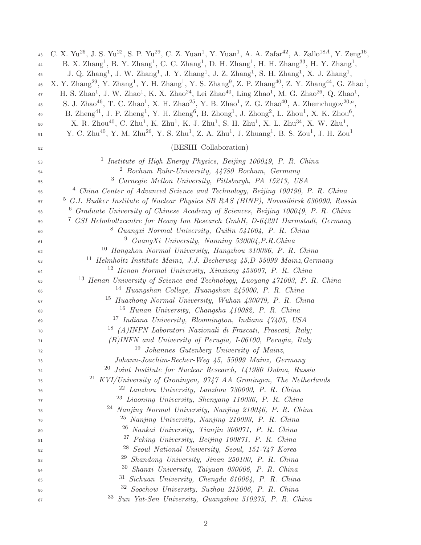| 43 | C. X. Yu <sup>26</sup> , J. S. Yu <sup>22</sup> , S. P. Yu <sup>29</sup> , C. Z. Yuan <sup>1</sup> , Y. Yuan <sup>1</sup> , A. A. Zafar <sup>42</sup> , A. Zallo <sup>18A</sup> , Y. Zeng <sup>16</sup> , |
|----|-----------------------------------------------------------------------------------------------------------------------------------------------------------------------------------------------------------|
| 44 | B. X. Zhang <sup>1</sup> , B. Y. Zhang <sup>1</sup> , C. C. Zhang <sup>1</sup> , D. H. Zhang <sup>1</sup> , H. H. Zhang <sup>33</sup> , H. Y. Zhang <sup>1</sup> ,                                        |
| 45 | J. Q. Zhang <sup>1</sup> , J. W. Zhang <sup>1</sup> , J. Y. Zhang <sup>1</sup> , J. Z. Zhang <sup>1</sup> , S. H. Zhang <sup>1</sup> , X. J. Zhang <sup>1</sup> ,                                         |
| 46 | X. Y. Zhang <sup>29</sup> , Y. Zhang <sup>1</sup> , Y. H. Zhang <sup>1</sup> , Y. S. Zhang <sup>9</sup> , Z. P. Zhang <sup>40</sup> , Z. Y. Zhang <sup>44</sup> , G. Zhao <sup>1</sup> ,                  |
| 47 | H. S. Zhao <sup>1</sup> , J. W. Zhao <sup>1</sup> , K. X. Zhao <sup>24</sup> , Lei Zhao <sup>40</sup> , Ling Zhao <sup>1</sup> , M. G. Zhao <sup>26</sup> , Q. Zhao <sup>1</sup> ,                        |
| 48 | S. J. Zhao <sup>46</sup> , T. C. Zhao <sup>1</sup> , X. H. Zhao <sup>25</sup> , Y. B. Zhao <sup>1</sup> , Z. G. Zhao <sup>40</sup> , A. Zhemchugov <sup>20,a</sup> ,                                      |
| 49 | B. Zheng <sup>41</sup> , J. P. Zheng <sup>1</sup> , Y. H. Zheng <sup>6</sup> , B. Zhong <sup>1</sup> , J. Zhong <sup>2</sup> , L. Zhou <sup>1</sup> , X. K. Zhou <sup>6</sup> ,                           |
| 50 | X. R. Zhou <sup>40</sup> , C. Zhu <sup>1</sup> , K. Zhu <sup>1</sup> , K. J. Zhu <sup>1</sup> , S. H. Zhu <sup>1</sup> , X. L. Zhu <sup>34</sup> , X. W. Zhu <sup>1</sup> ,                               |
| 51 | Y. C. Zhu <sup>40</sup> , Y. M. Zhu <sup>26</sup> , Y. S. Zhu <sup>1</sup> , Z. A. Zhu <sup>1</sup> , J. Zhuang <sup>1</sup> , B. S. Zou <sup>1</sup> , J. H. Zou <sup>1</sup>                            |
| 52 | (BESIII Collaboration)                                                                                                                                                                                    |
| 53 | Institute of High Energy Physics, Beijing 100049, P. R. China<br>$\pm$                                                                                                                                    |
| 54 | $\frac{2}{3}$ Bochum Ruhr-University, $\frac{1}{4}$ 780 Bochum, Germany                                                                                                                                   |
| 55 | Carnegie Mellon University, Pittsburgh, PA 15213, USA                                                                                                                                                     |
| 56 | <sup>4</sup> China Center of Advanced Science and Technology, Beijing 100190, P. R. China                                                                                                                 |
| 57 | G.I. Budker Institute of Nuclear Physics SB RAS (BINP), Novosibirsk 630090, Russia                                                                                                                        |
| 58 | $6$ Graduate University of Chinese Academy of Sciences, Beijing 100049, P. R. China                                                                                                                       |
| 59 | <sup>7</sup> GSI Helmholtzcentre for Heavy Ion Research GmbH, D-64291 Darmstadt, Germany                                                                                                                  |
| 60 | Guangxi Normal University, Guilin 541004, P. R. China<br>8 <sub>z</sub>                                                                                                                                   |
| 61 | GuangXi University, Nanning 530004, P.R.China<br>9                                                                                                                                                        |
| 62 | <sup>10</sup> Hangzhou Normal University, Hangzhou 310036, P. R. China                                                                                                                                    |
| 63 | $11$ Helmholtz Institute Mainz, J.J. Becherweg $45, D$ 55099 Mainz, Germany                                                                                                                               |
| 64 | <sup>12</sup> Henan Normal University, Xinxiang 453007, P. R. China                                                                                                                                       |
| 65 | <sup>13</sup> Henan University of Science and Technology, Luoyang 471003, P. R. China                                                                                                                     |
| 66 | 14<br>Huangshan College, Huangshan 245000, P. R. China                                                                                                                                                    |
| 67 | 15<br>Huazhong Normal University, Wuhan 430079, P. R. China                                                                                                                                               |
| 68 | Hunan University, Changsha 410082, P. R. China<br>16                                                                                                                                                      |
| 69 | <sup>17</sup> Indiana University, Bloomington, Indiana 47405, USA                                                                                                                                         |
| 70 | <sup>18</sup> (A)INFN Laboratori Nazionali di Frascati, Frascati, Italy;                                                                                                                                  |
| 71 | (B)INFN and University of Perugia, I-06100, Perugia, Italy                                                                                                                                                |
| 72 | Johannes Gutenberg University of Mainz,<br>19                                                                                                                                                             |
| 73 | Johann-Joachim-Becher-Weg 45, 55099 Mainz, Germany                                                                                                                                                        |
| 74 | 20<br>Joint Institute for Nuclear Research, 141980 Dubna, Russia                                                                                                                                          |
| 75 | $^{21}$ KVI/University of Groningen, 9747 AA Groningen, The Netherlands                                                                                                                                   |
| 76 | <sup>22</sup> Lanzhou University, Lanzhou 730000, P. R. China                                                                                                                                             |
| 77 | <sup>23</sup> Liaoning University, Shenyang 110036, P. R. China                                                                                                                                           |
| 78 | 24<br>Nanjing Normal University, Nanjing 210046, P. R. China                                                                                                                                              |
| 79 | <sup>25</sup> Nanjing University, Nanjing 210093, P. R. China                                                                                                                                             |
| 80 | <sup>26</sup> Nankai University, Tianjin 300071, P. R. China                                                                                                                                              |
| 81 | 27<br>Peking University, Beijing 100871, P. R. China                                                                                                                                                      |
| 82 | 28<br>Seoul National University, Seoul, 151-747 Korea                                                                                                                                                     |
| 83 | 29<br>Shandong University, Jinan 250100, P. R. China                                                                                                                                                      |
| 84 | <sup>30</sup> Shanxi University, Taiyuan 030006, P. R. China                                                                                                                                              |
| 85 | $31$ Sichuan University, Chengdu 610064, P. R. China                                                                                                                                                      |
| 86 | 32 Soochow University, Suzhou 215006, P. R. China                                                                                                                                                         |
| 87 | 33<br>Sun Yat-Sen University, Guangzhou 510275, P. R. China                                                                                                                                               |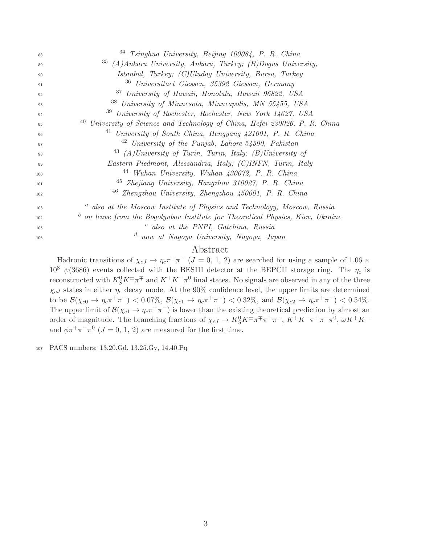| 88  | <sup>34</sup> Tsinghua University, Beijing 100084, P. R. China                          |
|-----|-----------------------------------------------------------------------------------------|
| 89  | <sup>35</sup> (A)Ankara University, Ankara, Turkey; (B)Dogus University,                |
| 90  | Istanbul, Turkey; (C)Uludag University, Bursa, Turkey                                   |
| 91  | <sup>36</sup> Universitaet Giessen, 35392 Giessen, Germany                              |
| 92  | <sup>37</sup> University of Hawaii, Honolulu, Hawaii 96822, USA                         |
| 93  | <sup>38</sup> University of Minnesota, Minneapolis, MN 55455, USA                       |
| 94  | <sup>39</sup> University of Rochester, Rochester, New York 14627, USA                   |
| 95  | 40<br>University of Science and Technology of China, Hefei 230026, P. R. China          |
| 96  | 41<br>University of South China, Hengyang 421001, P. R. China                           |
| 97  | $42$ University of the Punjab, Lahore-54590, Pakistan                                   |
| 98  | $^{43}$ (A)University of Turin, Turin, Italy; (B)University of                          |
| 99  | Eastern Piedmont, Alessandria, Italy; (C)INFN, Turin, Italy                             |
| 100 | 44<br>Wuhan University, Wuhan 430072, P. R. China                                       |
| 101 | <sup>45</sup> Zhejiang University, Hangzhou 310027, P. R. China                         |
| 102 | <sup>46</sup> Zhengzhou University, Zhengzhou 450001, P. R. China                       |
| 103 | <sup>a</sup> also at the Moscow Institute of Physics and Technology, Moscow, Russia     |
| 104 | $\bar{b}$ on leave from the Bogolyubov Institute for Theoretical Physics, Kiev, Ukraine |
| 105 | $c$ also at the PNPI, Gatchina, Russia                                                  |
| 106 | $\boldsymbol{d}$<br>now at Nagoya University, Nagoya, Japan                             |
|     | $\mathbf{A}$ and $\mathbf{A}$ and $\mathbf{A}$ and $\mathbf{A}$                         |

# Abstract

Hadronic transitions of  $\chi_{cJ} \to \eta_c \pi^+ \pi^ (J = 0, 1, 2)$  are searched for using a sample of 1.06  $\times$  $10^8 \psi(3686)$  events collected with the BESIII detector at the BEPCII storage ring. The  $\eta_c$  is reconstructed with  $K_S^0 K^{\pm} \pi^{\mp}$  and  $K^+ K^- \pi^0$  final states. No signals are observed in any of the three  $\chi_{cJ}$  states in either  $\eta_c$  decay mode. At the 90% confidence level, the upper limits are determined to be  $\mathcal{B}(\chi_{c0} \to \eta_c \pi^+ \pi^-)$  < 0.07%,  $\mathcal{B}(\chi_{c1} \to \eta_c \pi^+ \pi^-)$  < 0.32%, and  $\mathcal{B}(\chi_{c2} \to \eta_c \pi^+ \pi^-)$  < 0.54%. The upper limit of  $\mathcal{B}(\chi_{c1} \to \eta_c \pi^+ \pi^-)$  is lower than the existing theoretical prediction by almost an order of magnitude. The branching fractions of  $\chi_{cJ} \to K_S^0 K^{\pm} \pi^{\mp} \pi^+ \pi^-$ ,  $K^+ K^- \pi^+ \pi^- \pi^0$ ,  $\omega K^+ K^$ and  $\phi \pi^+ \pi^- \pi^0$  ( $J = 0, 1, 2$ ) are measured for the first time.

PACS numbers: 13.20.Gd, 13.25.Gv, 14.40.Pq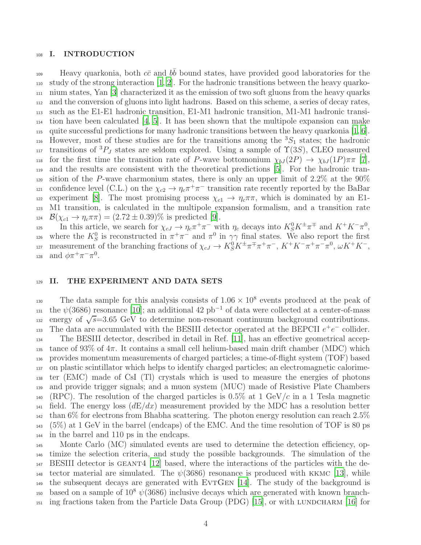#### 108 I. INTRODUCTION

Heavy quarkonia, both  $c\bar{c}$  and  $b\bar{b}$  bound states, have provided good laboratories for the <sup>110</sup> study of the strong interaction [\[1,](#page-17-0) [2\]](#page-17-1). For the hadronic transitions between the heavy quarko-<sup>111</sup> nium states, Yan [\[3](#page-17-2)] characterized it as the emission of two soft gluons from the heavy quarks <sup>112</sup> and the conversion of gluons into light hadrons. Based on this scheme, a series of decay rates, <sup>113</sup> such as the E1-E1 hadronic transition, E1-M1 hadronic transition, M1-M1 hadronic transi-<sup>114</sup> tion have been calculated [\[4,](#page-17-3) [5\]](#page-17-4). It has been shown that the multipole expansion can make <sup>115</sup> quite successful predictions for many hadronic transitions between the heavy quarkonia [\[1,](#page-17-0) [6\]](#page-17-5).  $_{116}$  However, most of these studies are for the transitions among the  ${}^{3}S_{1}$  states; the hadronic 117 transitions of  ${}^{3}P_J$  states are seldom explored. Using a sample of  $\Upsilon(3S)$ , CLEO measured 118 for the first time the transition rate of P-wave bottomonium  $\chi_{bJ}(2P) \to \chi_{bJ}(1P)\pi\pi$  [\[7\]](#page-17-6), <sup>119</sup> and the results are consistent with the theoretical predictions [\[5](#page-17-4)]. For the hadronic tran-120 sition of the P-wave charmonium states, there is only an upper limit of 2.2% at the  $90\%$ confidence level (C.L.) on the  $\chi_{c2} \to \eta_c \pi^+ \pi^-$  transition rate recently reported by the BaBar 122 experiment [\[8\]](#page-17-7). The most promising process  $\chi_{c1} \to \eta_c \pi \pi$ , which is dominated by an E1-<sup>123</sup> M1 transition, is calculated in the multipole expansion formalism, and a transition rate 124  $\mathcal{B}(\chi_{c1} \to \eta_c \pi \pi) = (2.72 \pm 0.39)\%$  is predicted [\[9\]](#page-17-8).

125 In this article, we search for  $\chi_{cJ} \to \eta_c \pi^+ \pi^-$  with  $\eta_c$  decays into  $K_S^0 K^{\pm} \pi^{\mp}$  and  $K^+ K^- \pi^0$ ,  $\alpha$ <sub>126</sub> where the K<sup>0</sup><sub>S</sub> is reconstructed in π<sup>+</sup>π<sup>-</sup> and π<sup>0</sup> in γγ final states. We also report the first measurement of the branching fractions of  $\chi_{cJ} \to K_S^0 K^{\pm} \pi^{\mp} \pi^+ \pi^-$ ,  $K^+ K^- \pi^+ \pi^- \pi^0$ ,  $\omega K^+ K^-$ , 128 and  $\phi \pi^+ \pi^- \pi^0$ .

### 129 II. THE EXPERIMENT AND DATA SETS

The data sample for this analysis consists of  $1.06 \times 10^8$  events produced at the peak of <sup>131</sup> the  $\psi(3686)$  resonance [\[10\]](#page-17-9); an additional 42 pb<sup>-1</sup> of data were collected at a center-of-mass  $\frac{1}{132}$  energy of  $\sqrt{s} = 3.65$  GeV to determine non-resonant continuum background contributions. 133 The data are accumulated with the BESIII detector operated at the BEPCII  $e^+e^-$  collider. <sup>134</sup> The BESIII detector, described in detail in Ref. [\[11](#page-17-10)], has an effective geometrical accep-135 tance of 93% of  $4\pi$ . It contains a small cell helium-based main drift chamber (MDC) which <sup>136</sup> provides momentum measurements of charged particles; a time-of-flight system (TOF) based <sup>137</sup> on plastic scintillator which helps to identify charged particles; an electromagnetic calorime-<sup>138</sup> ter (EMC) made of CsI (Tl) crystals which is used to measure the energies of photons <sup>139</sup> and provide trigger signals; and a muon system (MUC) made of Resistive Plate Chambers  $140~$  (RPC). The resolution of the charged particles is 0.5% at 1 GeV/c in a 1 Tesla magnetic <sup>141</sup> field. The energy loss  $(dE/dx)$  measurement provided by the MDC has a resolution better <sup>142</sup> than 6% for electrons from Bhabha scattering. The photon energy resolution can reach 2.5% <sup>143</sup> (5%) at 1 GeV in the barrel (endcaps) of the EMC. And the time resolution of TOF is 80 ps <sup>144</sup> in the barrel and 110 ps in the endcaps.

<sup>145</sup> Monte Carlo (MC) simulated events are used to determine the detection efficiency, op-<sup>146</sup> timize the selection criteria, and study the possible backgrounds. The simulation of the <sup>147</sup> BESIII detector is geant4 [\[12\]](#page-17-11) based, where the interactions of the particles with the de-148 tector material are simulated. The  $\psi(3686)$  resonance is produced with KKMC [\[13](#page-17-12)], while <sup>149</sup> the subsequent decays are generated with EVTGEN  $[14]$  $[14]$ . The study of the background is to based on a sample of  $10^8 \psi(3686)$  inclusive decays which are generated with known branch- $_{151}$  ing fractions taken from the Particle Data Group (PDG) [\[15](#page-17-14)], or with LUNDCHARM [\[16](#page-17-15)] for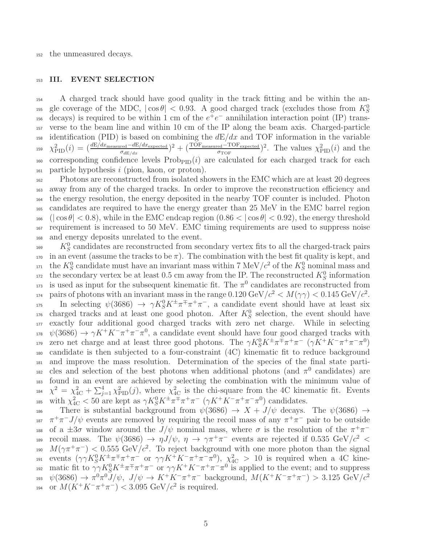<sup>152</sup> the unmeasured decays.

# 153 III. EVENT SELECTION

<sup>154</sup> A charged track should have good quality in the track fitting and be within the angle coverage of the MDC,  $|\cos \theta| < 0.93$ . A good charged track (excludes those from  $K_S^0$ 155  $\alpha$  decays) is required to be within 1 cm of the  $e^+e^-$  annihilation interaction point (IP) trans-<sup>157</sup> verse to the beam line and within 10 cm of the IP along the beam axis. Charged-particle 158 identification (PID) is based on combining the  $dE/dx$  and TOF information in the variable <sup>159</sup>  $\chi^2_{\text{PID}}(i) = \left(\frac{dE/dx_{\text{measured}} - dE/dx_{\text{expected}}}{\sigma_{dE/dx}}\right)^2 + \left(\frac{\text{TOF}_{\text{measured}} - \text{TOF}_{\text{expected}}}{\sigma_{\text{TOF}}}\right)^2$ . The values  $\chi^2_{\text{PID}}(i)$  and the  $_{160}$  corresponding confidence levels  $\text{Prob}_{\text{PID}}(i)$  are calculated for each charged track for each  $_{161}$  particle hypothesis i (pion, kaon, or proton).

 Photons are reconstructed from isolated showers in the EMC which are at least 20 degrees away from any of the charged tracks. In order to improve the reconstruction efficiency and the energy resolution, the energy deposited in the nearby TOF counter is included. Photon candidates are required to have the energy greater than 25 MeV in the EMC barrel region  $\left|\cos\theta\right|$  < 0.8), while in the EMC endcap region  $(0.86 < |\cos\theta| < 0.92)$ , the energy threshold requirement is increased to 50 MeV. EMC timing requirements are used to suppress noise and energy deposits unrelated to the event.

 $K_S^0$  candidates are reconstructed from secondary vertex fits to all the charged-track pairs 170 in an event (assume the tracks to be  $\pi$ ). The combination with the best fit quality is kept, and <sup>171</sup> the  $K_S^0$  candidate must have an invariant mass within 7 MeV/ $c^2$  of the  $K_S^0$  nominal mass and <sup>172</sup> the secondary vertex be at least 0.5 cm away from the IP. The reconstructed  $K_S^0$  information 173 is used as input for the subsequent kinematic fit. The  $\pi^0$  candidates are reconstructed from <sup>174</sup> pairs of photons with an invariant mass in the range  $0.120 \text{ GeV}/c^2 < M(\gamma \gamma) < 0.145 \text{ GeV}/c^2$ . In selecting  $\psi(3686) \to \gamma K_S^0 K^{\pm} \pi^{\mp} \pi^+ \pi^-$ , a candidate event should have at least six  $\alpha$  charged tracks and at least one good photon. After  $K_S^0$  selection, the event should have <sup>177</sup> exactly four additional good charged tracks with zero net charge. While in selecting <sup>178</sup>  $\psi(3686) \rightarrow \gamma K^+ K^- \pi^+ \pi^- \pi^0$ , a candidate event should have four good charged tracks with 179 zero net charge and at least three good photons. The  $\gamma K_S^0 K^{\pm} \pi^{\mp} \pi^+ \pi^- (\gamma K^+ K^- \pi^+ \pi^- \pi^0)$ <sup>180</sup> candidate is then subjected to a four-constraint (4C) kinematic fit to reduce background <sup>181</sup> and improve the mass resolution. Determination of the species of the final state parti-182 cles and selection of the best photons when additional photons (and  $\pi^0$  candidates) are <sup>183</sup> found in an event are achieved by selecting the combination with the minimum value of <sup>184</sup>  $\chi^2 = \chi^2_{4C} + \sum_{j=1}^4 \chi^2_{\rm PID}(j)$ , where  $\chi^2_{4C}$  is the chi-square from the 4C kinematic fit. Events <sup>185</sup> with  $\chi^2_{4C} < 50$  are kept as  $\gamma K_S^0 K^{\pm} \pi^{\mp} \pi^+ \pi^- (\gamma K^+ K^- \pi^+ \pi^- \pi^0)$  candidates.

186 There is substantial background from  $\psi(3686) \rightarrow X + J/\psi$  decays. The  $\psi(3686) \rightarrow$ <sup>187</sup>  $\pi^+\pi^-J/\psi$  events are removed by requiring the recoil mass of any  $\pi^+\pi^-$  pair to be outside 188 of a  $\pm 3\sigma$  window around the  $J/\psi$  nominal mass, where  $\sigma$  is the resolution of the  $\pi^+\pi^$ recoil mass. The  $\psi(3686) \to \eta J/\psi$ ,  $\eta \to \gamma \pi^+ \pi^-$  events are rejected if 0.535 GeV/ $c^2$  < <sup>190</sup>  $M(\gamma \pi^+ \pi^-)$  < 0.555 GeV/c<sup>2</sup>. To reject background with one more photon than the signal 191 events  $(\gamma\gamma K_S^0 K^{\pm}\pi^{\mp}\pi^+\pi^- \text{ or } \gamma\gamma K^+K^-\pi^+\pi^-\pi^0), \chi^2_{\text{4C}} > 10$  is required when a 4C kine-192 matic fit to  $\gamma \gamma K_S^0 K^{\pm} \pi^{\mp} \pi^+ \pi^-$  or  $\gamma \gamma K^+ K^- \pi^+ \pi^- \pi^0$  is applied to the event; and to suppress  $\psi(3686) \rightarrow \pi^0 \pi^0 J/\psi$ ,  $J/\psi \rightarrow K^+ K^- \pi^+ \pi^-$  background,  $M(K^+ K^- \pi^+ \pi^-) > 3.125 \text{ GeV}/c^2$ 193 194 or  $M(K^+K^-\pi^+\pi^-) < 3.095 \text{ GeV}/c^2$  is required.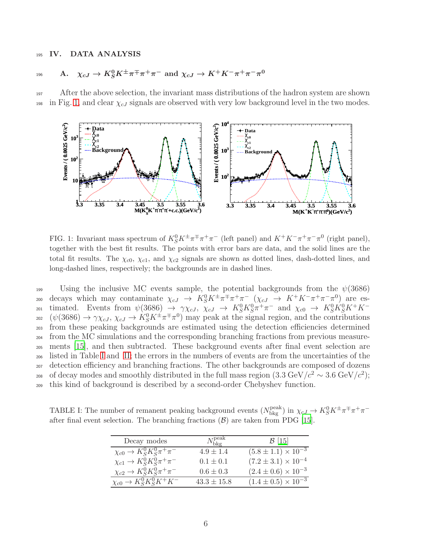## <sup>195</sup> IV. DATA ANALYSIS

$$
196 \qquad \text{A.} \quad \chi_{cJ} \to K_S^0 K^{\pm} \pi^{\mp} \pi^+ \pi^- \text{ and } \chi_{cJ} \to K^+ K^- \pi^+ \pi^- \pi^0
$$

<sup>197</sup> After the above selection, the invariant mass distributions of the hadron system are shown 198 in Fig. [1,](#page-5-0) and clear  $\chi_{cJ}$  signals are observed with very low background level in the two modes.



<span id="page-5-0"></span>FIG. 1: Invariant mass spectrum of  $K_S^0 K^{\pm} \pi^{\mp} \pi^+ \pi^-$  (left panel) and  $K^+ K^- \pi^+ \pi^- \pi^0$  (right panel), together with the best fit results. The points with error bars are data, and the solid lines are the total fit results. The  $\chi_{c0}$ ,  $\chi_{c1}$ , and  $\chi_{c2}$  signals are shown as dotted lines, dash-dotted lines, and long-dashed lines, respectively; the backgrounds are in dashed lines.

199 Using the inclusive MC events sample, the potential backgrounds from the  $\psi(3686)$ 200 decays which may contaminate  $\chi_{cJ} \to K_S^0 K^{\pm} \pi^{\mp} \pi^+ \pi^- (\chi_{cJ} \to K^+ K^- \pi^+ \pi^- \pi^0)$  are es-201 timated. Events from  $\psi(3686) \rightarrow \gamma \chi_{cJ}$ ,  $\chi_{cJ} \rightarrow K_S^0 K_S^0 \pi^+ \pi^-$  and  $\chi_{c0} \rightarrow K_S^0 K_S^0 K^+ K^ (\psi(3686) \to \gamma \chi_{cJ}, \chi_{cJ} \to K_S^0 K^{\pm} \pi^{\mp} \pi^0)$  may peak at the signal region, and the contributions from these peaking backgrounds are estimated using the detection efficiencies determined from the MC simulations and the corresponding branching fractions from previous measure- ments [\[15](#page-17-14)], and then subtracted. These background events after final event selection are listed in Table [I](#page-5-1) and [II;](#page-6-0) the errors in the numbers of events are from the uncertainties of the detection efficiency and branching fractions. The other backgrounds are composed of dozens of decay modes and smoothly distributed in the full mass region  $(3.3 \text{ GeV}/c^2 \sim 3.6 \text{ GeV}/c^2)$ ; this kind of background is described by a second-order Chebyshev function.

TABLE I: The number of remanent peaking background events  $(N_{\text{bkg}}^{\text{peak}})$  in  $\chi_{cJ} \to K_S^0 K^{\pm} \pi^{\mp} \pi^+ \pi^$ after final event selection. The branching fractions  $(\mathcal{B})$  are taken from PDG [\[15](#page-17-14)].

<span id="page-5-1"></span>

| Decay modes                             | $N_{\rm bkg}^{\rm peak}$ | $\mathcal{B}$ [15]             |
|-----------------------------------------|--------------------------|--------------------------------|
| $\chi_{c0} \to K_S^0 K_S^0 \pi^+ \pi^-$ | $4.9 \pm 1.4$            | $(5.8 \pm 1.1) \times 10^{-3}$ |
| $\chi_{c1} \to K_S^0 K_S^0 \pi^+ \pi^-$ | $0.1 \pm 0.1$            | $(7.2 \pm 3.1) \times 10^{-4}$ |
| $\chi_{c2} \to K_S^0 K_S^0 \pi^+ \pi^-$ | $0.6 \pm 0.3$            | $(2.4 \pm 0.6) \times 10^{-3}$ |
| $\chi_{c0} \to K_S^0 K_S^0 K^+ K^-$     | $43.3 \pm 15.8$          | $(1.4 \pm 0.5) \times 10^{-3}$ |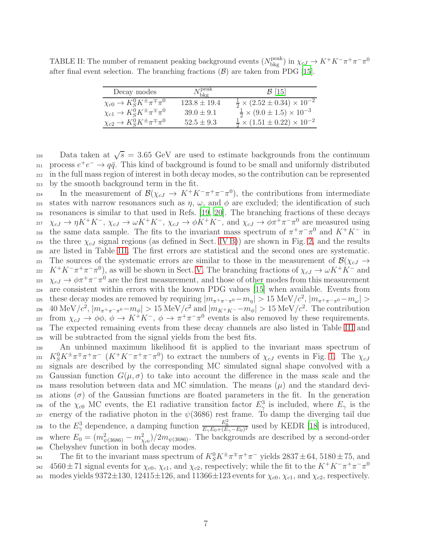TABLE II: The number of remanent peaking background events  $(N_{\text{bkg}}^{\text{peak}})$  in  $\chi_{cJ} \to K^+K^-\pi^+\pi^-\pi^0$ after final event selection. The branching fractions  $(\mathcal{B})$  are taken from PDG [\[15](#page-17-14)].

<span id="page-6-0"></span>

| Decay modes                                   | $N_{\rm bkg}^{\rm peak}$ | $\mathcal{B}$ [15]                                  |
|-----------------------------------------------|--------------------------|-----------------------------------------------------|
| $\chi_{c0} \to K_S^0 K^{\pm} \pi^{\mp} \pi^0$ | $123.8 \pm 19.4$         | $\frac{1}{2} \times (2.52 \pm 0.34) \times 10^{-2}$ |
| $\chi_{c1} \to K_S^0 K^{\pm} \pi^{\mp} \pi^0$ | $39.0 \pm 9.1$           | $\frac{1}{2} \times (9.0 \pm 1.5) \times 10^{-3}$   |
| $\chi_{c2} \to K_S^0 K^{\pm} \pi^{\mp} \pi^0$ | $52.5 \pm 9.3$           | $\frac{1}{2} \times (1.51 \pm 0.22) \times 10^{-2}$ |

210 Data taken at  $\sqrt{s} = 3.65$  GeV are used to estimate backgrounds from the continuum 211 process  $e^+e^- \rightarrow q\bar{q}$ . This kind of background is found to be small and uniformly distributed <sup>212</sup> in the full mass region of interest in both decay modes, so the contribution can be represented <sup>213</sup> by the smooth background term in the fit.

214 In the measurement of  $\mathcal{B}(\chi_{cJ} \to K^+K^-\pi^+\pi^-\pi^0)$ , the contributions from intermediate 215 states with narrow resonances such as  $\eta$ ,  $\omega$ , and  $\phi$  are excluded; the identification of such <sup>216</sup> resonances is similar to that used in Refs. [\[19,](#page-17-16) [20\]](#page-17-17). The branching fractions of these decays 217  $\chi_{cJ} \to \eta K^+ K^-$ ,  $\chi_{cJ} \to \omega K^+ K^-$ ,  $\chi_{cJ} \to \phi K^+ K^-$ , and  $\chi_{cJ} \to \phi \pi^+ \pi^- \pi^0$  are measured using <sup>218</sup> the same data sample. The fits to the invariant mass spectrum of  $\pi^+\pi^-\pi^0$  and  $K^+K^-$  in 219 the three  $\chi_{cJ}$  signal regions (as defined in Sect. [IV B\)](#page-7-0)) are shown in Fig. [2,](#page-7-1) and the results <sup>220</sup> are listed in Table [III.](#page-8-0) The first errors are statistical and the second ones are systematic. 221 The sources of the systematic errors are similar to those in the measurement of  $\mathcal{B}(\chi_{cJ} \to$  $K^+K^-\pi^+\pi^-\pi^0$ , as will be shown in Sect. [V.](#page-10-0) The branching fractions of  $\chi_{cJ} \to \omega K^+K^-$  and 223  $\chi_{cJ} \rightarrow \phi \pi^+ \pi^- \pi^0$  are the first measurement, and those of other modes from this measurement <sup>224</sup> are consistent within errors with the known PDG values [\[15](#page-17-14)] when available. Events from these decay modes are removed by requiring  $|m_{\pi^+\pi^-\pi^0} - m_{\eta}| > 15 \text{ MeV}/c^2$ ,  $|m_{\pi^+\pi^-\pi^0} - m_{\omega}| >$ 226 40 MeV/ $c^2$ ,  $|m_{\pi^+\pi^-\pi^0} - m_{\phi}| > 15$  MeV/ $c^2$  and  $|m_{K^+K^-} - m_{\phi}| > 15$  MeV/ $c^2$ . The contribution 227 from  $\chi_{cJ}$  → φφ, φ →  $K^+K^-$ , φ →  $\pi^+\pi^-\pi^0$  events is also removed by these requirements. <sup>228</sup> The expected remaining events from these decay channels are also listed in Table [III](#page-8-0) and <sup>229</sup> will be subtracted from the signal yields from the best fits.

<sup>230</sup> An unbinned maximum likelihood fit is applied to the invariant mass spectrum of 231  $K_S^0 K^{\pm} \pi^{\mp} \pi^+ \pi^- (K^+ K^- \pi^+ \pi^- \pi^0)$  to extract the numbers of  $\chi_{cJ}$  events in Fig. [1.](#page-5-0) The  $\chi_{cJ}$ <sup>232</sup> signals are described by the corresponding MC simulated signal shape convolved with a  $233$  Gaussian function  $G(\mu, \sigma)$  to take into account the difference in the mass scale and the 234 mass resolution between data and MC simulation. The means  $(\mu)$  and the standard devi-235 ations ( $\sigma$ ) of the Gaussian functions are floated parameters in the fit. In the generation 236 of the  $\chi_{c0}$  MC events, the E1 radiative transition factor  $E_{\gamma}^3$  is included, where  $E_{\gamma}$  is the energy of the radiative photon in the  $\psi(3686)$  rest frame. To damp the diverging tail due to the  $E_{\gamma}^3$  dependence, a damping function  $\frac{E_0^2}{E_{\gamma}E_0+(E_{\gamma}-E_0)^2}$  used by KEDR [\[18\]](#page-17-18) is introduced, where  $E_0 = (m_{\psi(3686)}^2 - m_{\chi_{c0}}^2)/2m_{\psi(3686)}$ . The backgrounds are described by a second-order <sup>240</sup> Chebyshev function in both decay modes.

<sup>241</sup> The fit to the invariant mass spectrum of  $K_S^0 K^{\pm} \pi^{\mp} \pi^+ \pi^-$  yields  $2837 \pm 64$ , 5180  $\pm$  75, and  $4560 \pm 71$  signal events for  $\chi_{c0}$ ,  $\chi_{c1}$ , and  $\chi_{c2}$ , respectively; while the fit to the  $K^+K^-\pi^+\pi^-\pi^0$ 242 243 modes yields  $9372\pm130$ ,  $12415\pm126$ , and  $11366\pm123$  events for  $\chi_{c0}$ ,  $\chi_{c1}$ , and  $\chi_{c2}$ , respectively.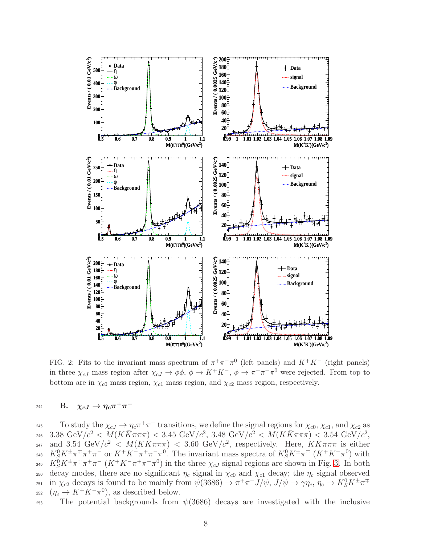

<span id="page-7-1"></span>FIG. 2: Fits to the invariant mass spectrum of  $\pi^+\pi^-\pi^0$  (left panels) and  $K^+K^-$  (right panels) in three  $\chi_{cJ}$  mass region after  $\chi_{cJ} \to \phi \phi$ ,  $\phi \to K^+ K^-$ ,  $\phi \to \pi^+ \pi^- \pi^0$  were rejected. From top to bottom are in  $\chi_{c0}$  mass region,  $\chi_{c1}$  mass region, and  $\chi_{c2}$  mass region, respectively.

<span id="page-7-0"></span> $_{\textrm{\tiny{244}}}$  B.  $\chi_{cJ}\rightarrow \eta_c \pi^+\pi^-$ 

To study the  $\chi_{cJ} \to \eta_c \pi^+ \pi^-$  transitions, we define the signal regions for  $\chi_{c0}$ ,  $\chi_{c1}$ , and  $\chi_{c2}$  as 246  $-3.38\,\,{\rm GeV}/c^2 < M(K\bar K\pi\pi\pi) < 3.45\,\,{\rm GeV}/c^2,\, 3.48\,\,{\rm GeV}/c^2 < M(K\bar K\pi\pi\pi) < 3.54\,\,{\rm GeV}/c^2,$ 247 and 3.54  $\text{GeV}/c^2$  <  $M(K\bar{K}\pi\pi\pi)$  < 3.60  $\text{GeV}/c^2$ , respectively. Here,  $K\bar{K}\pi\pi\pi$  is either <sup>248</sup>  $K_S^0 K^{\pm} \pi^{\mp} \pi^+\pi^-$  or  $K^+ K^- \pi^+\pi^-\pi^0$ . The invariant mass spectra of  $K_S^0 K^{\pm} \pi^{\mp}$   $(K^+ K^- \pi^0)$  with <sup>249</sup>  $K_S^0 K^{\pm} \pi^{\mp} \pi^+\pi^- (K^+ K^-\pi^+\pi^-\pi^0)$  in the three  $\chi_{cJ}$  signal regions are shown in Fig. [3.](#page-9-0) In both 250 decay modes, there are no significant  $\eta_c$  signal in  $\chi_{c0}$  and  $\chi_{c1}$  decay; the  $\eta_c$  signal observed <sup>251</sup> in  $\chi_{c2}$  decays is found to be mainly from  $\psi(3686) \to \pi^+\pi^- J/\psi$ ,  $J/\psi \to \gamma\eta_c$ ,  $\eta_c \to K_S^0 K^{\pm}\pi^{\mp}$ <sup>252</sup>  $(\eta_c \to K^+ K^- \pi^0)$ , as described below.

253 The potential backgrounds from  $\psi(3686)$  decays are investigated with the inclusive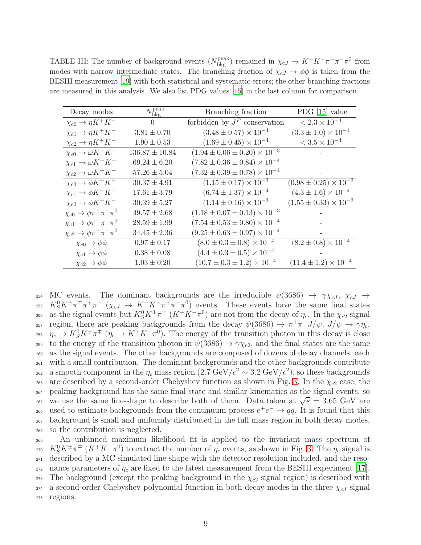<span id="page-8-0"></span>TABLE III: The number of background events  $(N_{\text{bkg}}^{\text{peak}})$  remained in  $\chi_{cJ} \to K^+K^-\pi^+\pi^-\pi^0$  from modes with narrow intermediate states. The branching fraction of  $\chi_{cJ} \to \phi \phi$  is taken from the BESIII measurement [\[19](#page-17-16)] with both statistical and systematic errors; the other branching fractions are measured in this analysis. We also list PDG values [\[15](#page-17-14)] in the last column for comparison.

| Decay modes                                       | $N_{\rm bkg}^{\rm peak}$ | Branching fraction                        | PDG $[15]$ value                 |
|---------------------------------------------------|--------------------------|-------------------------------------------|----------------------------------|
| $\chi_{c0} \to \eta K^+ K^-$                      | $\Omega$                 | forbidden by $J^P$ -conservation          | $< 2.3 \times 10^{-4}$           |
| $\chi_{c1} \rightarrow \eta K^+ K^-$              | $3.81 \pm 0.70$          | $(3.48 \pm 0.57) \times 10^{-4}$          | $(3.3 \pm 1.0) \times 10^{-4}$   |
| $\chi_{c2}\to\eta K^+K^-$                         | $1.90\pm0.53$            | $(1.69 \pm 0.45) \times 10^{-4}$          | $< 3.5 \times 10^{-4}$           |
| $\chi_{c0} \rightarrow \omega K^+ \overline{K^-}$ | $136.87 \pm 10.84$       | $(1.94 \pm 0.06 \pm 0.20) \times 10^{-3}$ |                                  |
| $\chi_{c1} \rightarrow \omega K^+ K^-$            | $69.24 \pm 6.20$         | $(7.82 \pm 0.36 \pm 0.84) \times 10^{-4}$ |                                  |
| $\chi_{c2} \to \omega K^+ K^-$                    | $57.26 \pm 5.04$         | $(7.32 \pm 0.39 \pm 0.78) \times 10^{-4}$ |                                  |
| $\chi_{c0} \rightarrow \phi K^+ K^-$              | $30.37 \pm 4.91$         | $(1.15 \pm 0.17) \times 10^{-3}$          | $(0.98 \pm 0.25) \times 10^{-3}$ |
| $\chi_{c1}\rightarrow \phi K^+K^-$                | $17.61 \pm 3.79$         | $(6.74 \pm 1.37) \times 10^{-4}$          | $(4.3 \pm 1.6) \times 10^{-4}$   |
| $\chi_{c2}\to \phi K^+K^-$                        | $30.39 \pm 5.27$         | $(1.14 \pm 0.16) \times 10^{-3}$          | $(1.55 \pm 0.33) \times 10^{-3}$ |
| $\chi_{c0} \to \phi \pi^+ \pi^- \pi^0$            | $49.57 \pm 2.68$         | $(1.18 \pm 0.07 \pm 0.13) \times 10^{-3}$ |                                  |
| $\chi_{c1}\rightarrow \phi \pi^+\pi^-\pi^0$       | $28.59 \pm 1.99$         | $(7.54 \pm 0.53 \pm 0.80) \times 10^{-4}$ |                                  |
| $\chi_{c2}\to \phi \pi^+\pi^-\pi^0$               | $34.45 \pm 2.36$         | $(9.25 \pm 0.63 \pm 0.97) \times 10^{-4}$ |                                  |
| $\chi_{c0} \rightarrow \phi\phi$                  | $0.97 \pm 0.17$          | $(8.0 \pm 0.3 \pm 0.8) \times 10^{-4}$    | $(8.2 \pm 0.8) \times 10^{-4}$   |
| $\chi_{c1} \rightarrow \phi\phi$                  | $0.38 \pm 0.08$          | $(4.4 \pm 0.3 \pm 0.5) \times 10^{-4}$    |                                  |
| $\chi_{c2} \rightarrow \phi\phi$                  | $1.03 \pm 0.20$          | $(10.7 \pm 0.3 \pm 1.2) \times 10^{-4}$   | $(11.4 \pm 1.2) \times 10^{-4}$  |

254 MC events. The dominant backgrounds are the irreducible  $\psi(3686) \rightarrow \gamma \chi_{cJ}, \chi_{cJ} \rightarrow$ <sup>255</sup>  $K_S^0 K^{\pm} \pi^{\mp} \pi^+ \pi^ (\chi_{cJ} \to K^{\mp} K^- \pi^+ \pi^- \pi^0)$  events. These events have the same final states <sup>256</sup> as the signal events but  $K_S^0 K^{\pm} \pi^{\mp} (K^+ K^- \pi^0)$  are not from the decay of  $\eta_c$ . In the  $\chi_{c2}$  signal region, there are peaking backgrounds from the decay  $\psi(3686) \to \pi^+\pi^- J/\psi$ ,  $J/\psi \to \gamma\eta_c$ , <sup>258</sup>  $\eta_c \to K_S^0 K^{\pm} \pi^{\mp}$  ( $\eta_c \to K^+ K^- \pi^0$ ). The energy of the transition photon in this decay is close <sup>259</sup> to the energy of the transition photon in  $\psi(3686) \rightarrow \gamma \chi_{c2}$ , and the final states are the same <sup>260</sup> as the signal events. The other backgrounds are composed of dozens of decay channels, each <sup>261</sup> with a small contribution. The dominant backgrounds and the other backgrounds contribute as a smooth component in the  $η_c$  mass region  $(2.7 \text{ GeV}/c^2 \sim 3.2 \text{ GeV}/c^2)$ , so these backgrounds 263 are described by a second-order Chebyshev function as shown in Fig. [3.](#page-9-0) In the  $\chi_{c2}$  case, the <sup>264</sup> peaking background has the same final state and similar kinematics as the signal events, so we use the same line-shape to describe both of them. Data taken at  $\sqrt{s} = 3.65$  GeV are used to estimate backgrounds from the continuum process  $e^+e^- \rightarrow q\bar{q}$ . It is found that this <sup>267</sup> background is small and uniformly distributed in the full mass region in both decay modes, <sup>268</sup> so the contribution is neglected.

<sup>269</sup> An unbinned maximum likelihood fit is applied to the invariant mass spectrum of <sup>270</sup>  $K_S^0 K^{\pm} \pi^{\mp} (K^+ K^- \pi^0)$  to extract the number of  $\eta_c$  events, as shown in Fig. [3.](#page-9-0) The  $\eta_c$  signal is <sup>271</sup> described by a MC simulated line shape with the detector resolution included, and the reso-272 nance parameters of  $\eta_c$  are fixed to the latest measurement from the BESIII experiment [\[17\]](#page-17-19). 273 The background (except the peaking background in the  $\chi_{c2}$  signal region) is described with  $_{274}$  a second-order Chebyshev polynomial function in both decay modes in the three  $\chi_{cJ}$  signal <sup>275</sup> regions.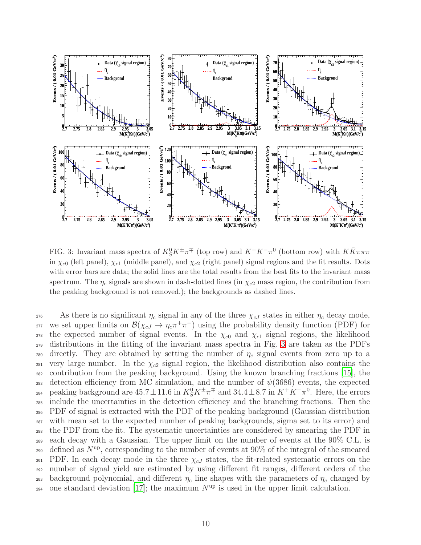

<span id="page-9-0"></span>FIG. 3: Invariant mass spectra of  $K_S^0 K^{\pm} \pi^{\mp}$  (top row) and  $K^+ K^- \pi^0$  (bottom row) with  $K \bar{K} \pi \pi \pi$ in  $\chi_{c0}$  (left panel),  $\chi_{c1}$  (middle panel), and  $\chi_{c2}$  (right panel) signal regions and the fit results. Dots with error bars are data; the solid lines are the total results from the best fits to the invariant mass spectrum. The  $\eta_c$  signals are shown in dash-dotted lines (in  $\chi_{c2}$  mass region, the contribution from the peaking background is not removed.); the backgrounds as dashed lines.

276 As there is no significant  $\eta_c$  signal in any of the three  $\chi_{cJ}$  states in either  $\eta_c$  decay mode, <sup>277</sup> we set upper limits on  $\mathcal{B}(\chi_{cJ} \to \eta_c \pi^+ \pi^-)$  using the probability density function (PDF) for 278 the expected number of signal events. In the  $\chi_{c0}$  and  $\chi_{c1}$  signal regions, the likelihood <sup>279</sup> distributions in the fitting of the invariant mass spectra in Fig. [3](#page-9-0) are taken as the PDFs 280 directly. They are obtained by setting the number of  $\eta_c$  signal events from zero up to a 281 very large number. In the  $\chi_{c2}$  signal region, the likelihood distribution also contains the <sup>282</sup> contribution from the peaking background. Using the known branching fractions [\[15\]](#page-17-14), the 283 detection efficiency from MC simulation, and the number of  $\psi(3686)$  events, the expected peaking background are  $45.7 \pm 11.6$  in  $K_S^0 K^{\pm} \pi^{\mp}$  and  $34.4 \pm 8.7$  in  $K^+ K^- \pi^0$ . Here, the errors <sup>285</sup> include the uncertainties in the detection efficiency and the branching fractions. Then the <sup>286</sup> PDF of signal is extracted with the PDF of the peaking background (Gaussian distribution <sup>287</sup> with mean set to the expected number of peaking backgrounds, sigma set to its error) and <sup>288</sup> the PDF from the fit. The systematic uncertainties are considered by smearing the PDF in <sup>289</sup> each decay with a Gaussian. The upper limit on the number of events at the 90% C.L. is 290 defined as  $N^{\text{up}}$ , corresponding to the number of events at 90% of the integral of the smeared 291 PDF. In each decay mode in the three  $\chi_{cJ}$  states, the fit-related systematic errors on the <sup>292</sup> number of signal yield are estimated by using different fit ranges, different orders of the 293 background polynomial, and different  $\eta_c$  line shapes with the parameters of  $\eta_c$  changed by  $_{294}$  one standard deviation [\[17](#page-17-19)]; the maximum  $N^{\text{up}}$  is used in the upper limit calculation.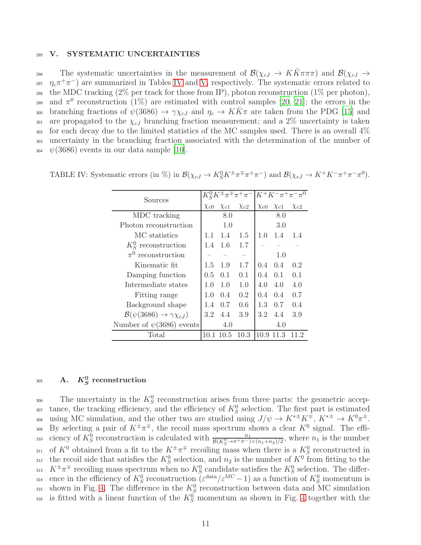### <span id="page-10-0"></span><sup>295</sup> V. SYSTEMATIC UNCERTAINTIES

296 The systematic uncertainties in the measurement of  $\mathcal{B}(\chi_{cJ} \to KK\pi\pi\pi)$  and  $\mathcal{B}(\chi_{cJ} \to$ <sup>297</sup>  $\eta_c \pi^+ \pi^-$ ) are summarized in Tables [IV](#page-10-1) and [V,](#page-11-0) respectively. The systematic errors related to 298 the MDC tracking  $(2\%$  per track for those from IP), photon reconstruction  $(1\%$  per photon), 299 and  $\pi^0$  reconstruction (1%) are estimated with control samples [\[20](#page-17-17), [21\]](#page-17-20); the errors in the <sup>300</sup> branching fractions of  $\psi(3686) \to \gamma \chi_{cJ}$  and  $\eta_c \to K\bar{K}\pi$  are taken from the PDG [\[15\]](#page-17-14) and 301 are propagated to the  $\chi_{cJ}$  branching fraction measurement; and a 2\% uncertainty is taken  $302$  for each decay due to the limited statistics of the MC samples used. There is an overall  $4\%$ <sup>303</sup> uncertainty in the branching fraction associated with the determination of the number of  $\frac{1}{304}$   $\psi(3686)$  events in our data sample [\[10](#page-17-9)].

<span id="page-10-1"></span>

| Sources                                        |             |             | $K_S^0 K^{\pm} \pi^{\mp} \pi^+ \pi^-  K^+ K^- \pi^+ \pi^- \pi^0 $ |             |             |             |
|------------------------------------------------|-------------|-------------|-------------------------------------------------------------------|-------------|-------------|-------------|
|                                                | $\chi_{c0}$ | $\chi_{c1}$ | $\chi_{c2}$                                                       | $\chi_{c0}$ | $\chi_{c1}$ | $\chi_{c2}$ |
| MDC tracking                                   |             | 8.0         |                                                                   |             | 8.0         |             |
| Photon reconstruction                          |             | 1.0         |                                                                   |             | 3.0         |             |
| MC statistics                                  | 1.1         | 1.4         | 1.5                                                               | 1.0         | 1.4         | 1.4         |
| $K_{\rm s}^0$ reconstruction                   | 1.4         | 1.6         | 1.7                                                               |             |             |             |
| $\pi^0$ reconstruction                         |             |             |                                                                   |             | 1.0         |             |
| Kinematic fit                                  | 1.5         | 1.9         | 1.7                                                               | 0.4         | 0.4         | 0.2         |
| Damping function                               | 0.5         | 0.1         | 0.1                                                               | 0.4         | 0.1         | 0.1         |
| Intermediate states                            | 1.0         | 1.0         | 1.0                                                               | 4.0         | 4.0         | 4.0         |
| Fitting range                                  | 1.0         | 0.4         | 0.2                                                               | 0.4         | 0.4         | 0.7         |
| Background shape                               | 1.4         | 0.7         | 0.6                                                               | 1.3         | 0.7         | 0.4         |
| $\mathcal{B}(\psi(3686) \to \gamma \chi_{cJ})$ | 3.2         | 4.4         | 3.9                                                               | 3.2         | 4.4         | 3.9         |
| Number of $\psi(3686)$ events                  |             | 4.0         |                                                                   |             | 4.0         |             |
| Total                                          | 10.1        | 10.5        | 10.3                                                              | 10.9        | 11.3        |             |

TABLE IV: Systematic errors (in %) in  $\mathcal{B}(\chi_{cJ} \to K_S^0 K^{\pm} \pi^{\mp} \pi^+ \pi^-)$  and  $\mathcal{B}(\chi_{cJ} \to K^+ K^- \pi^+ \pi^- \pi^0)$ .

# $_{305} \qquad {\rm A.} \quad K_S^0 {\rm \,\, reconstruction}$

306 The uncertainty in the  $K_S^0$  reconstruction arises from three parts: the geometric accep-<sup>307</sup> tance, the tracking efficiency, and the efficiency of  $K_S^0$  selection. The first part is estimated using MC simulation, and the other two are studied using  $J/\psi \to K^{*\pm} K^{\mp}$ ,  $K^{*\pm} \to K^0 \pi^{\pm}$ . 309 By selecting a pair of  $K^{\pm}\pi^{\mp}$ , the recoil mass spectrum shows a clear  $K^0$  signal. The effi-310 ciency of  $K_S^0$  reconstruction is calculated with  $\frac{n_1}{\mathcal{B}(K_S^0 \to \pi^+ \pi^-) \times (n_1+n_2)/2}$ , where  $n_1$  is the number 311 of  $K^0$  obtained from a fit to the  $K^{\pm}\pi^{\mp}$  recoiling mass when there is a  $K^0_S$  reconstructed in <sup>312</sup> the recoil side that satisfies the  $K_S^0$  selection, and  $n_2$  is the number of  $K^0$  from fitting to the <sup>313</sup>  $K^{\pm}\pi^{\mp}$  recoiling mass spectrum when no  $K_S^0$  candidate satisfies the  $K_S^0$  selection. The differ-314 ence in the efficiency of  $K_S^0$  reconstruction  $(\varepsilon^{\text{data}}/\varepsilon^{\text{MC}}-1)$  as a function of  $K_S^0$  momentum is  $_{315}$  shown in Fig. [4.](#page-11-1) The difference in the  $K_S^0$  reconstruction between data and MC simulation <sup>316</sup> is fitted with a linear function of the  $K_S^0$  momentum as shown in Fig. [4](#page-11-1) together with the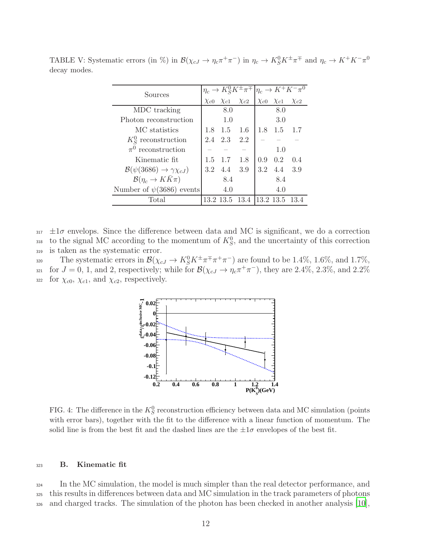<span id="page-11-0"></span>

| Sources                                        |     |                         | $\eta_c \to K_S^0 K^{\pm} \pi^{\mp}$ |     |                         | $\eta_c \to K^+ K^- \pi^0$ |
|------------------------------------------------|-----|-------------------------|--------------------------------------|-----|-------------------------|----------------------------|
|                                                |     | $\chi_{c0}$ $\chi_{c1}$ | $\chi_{c2}$                          |     | $\chi_{c0}$ $\chi_{c1}$ | $\chi_{c2}$                |
| MDC tracking                                   |     | 8.0                     |                                      |     | 8.0                     |                            |
| Photon reconstruction                          |     | 1.0                     |                                      |     | 3.0                     |                            |
| MC statistics                                  |     | $1.8 \quad 1.5$         | 1.6                                  | 1.8 | 1.5                     | 1.7                        |
| $K_S^0$ reconstruction                         |     | 2.4 2.3                 | 2.2                                  |     |                         |                            |
| $\pi^0$ reconstruction                         |     |                         |                                      |     | 1.0                     |                            |
| Kinematic fit.                                 | 1.5 | 1.7                     | 1.8                                  | 0.9 | 0.2                     | 0.4                        |
| $\mathcal{B}(\psi(3686) \to \gamma \chi_{cJ})$ |     | 3.2 4.4                 | 3.9                                  | 3.2 | 4.4                     | 3.9                        |
| $\mathcal{B}(\eta_c \to K\bar K\pi)$           |     | 8.4                     |                                      |     | 8.4                     |                            |
| Number of $\psi(3686)$ events                  |     | 4.0                     |                                      |     | 4.0                     |                            |
| Total                                          |     |                         | 13.2 13.5 13.4                       |     | $ 13.2\;13.5\;13.4$     |                            |

TABLE V: Systematic errors (in %) in  $\mathcal{B}(\chi_{cJ} \to \eta_c \pi^+ \pi^-)$  in  $\eta_c \to K_S^0 K^{\pm} \pi^{\mp}$  and  $\eta_c \to K^+ K^- \pi^0$ decay modes.

 $_{317}$   $\pm 1\sigma$  envelops. Since the difference between data and MC is significant, we do a correction <sup>318</sup> to the signal MC according to the momentum of  $K_S^0$ , and the uncertainty of this correction <sup>319</sup> is taken as the systematic error.

The systematic errors in  $\mathcal{B}(\chi_{cJ} \to K_S^0 K^{\pm} \pi^{\mp} \pi^+ \pi^-)$  are found to be 1.4%, 1.6%, and 1.7%,  $f_{321}$  for  $J = 0, 1$ , and 2, respectively; while for  $\mathcal{B}(\chi_{cJ} \to \eta_c \pi^+ \pi^-)$ , they are 2.4%, 2.3%, and 2.2%  $\frac{322}{2}$  for  $\chi_{c0}, \chi_{c1}, \text{ and } \chi_{c2}, \text{ respectively.}$ 



<span id="page-11-1"></span>FIG. 4: The difference in the  $K_S^0$  reconstruction efficiency between data and MC simulation (points with error bars), together with the fit to the difference with a linear function of momentum. The solid line is from the best fit and the dashed lines are the  $\pm 1\sigma$  envelopes of the best fit.

# <sup>323</sup> B. Kinematic fit

<sup>324</sup> In the MC simulation, the model is much simpler than the real detector performance, and <sup>325</sup> this results in differences between data and MC simulation in the track parameters of photons  $\frac{326}{10}$  and charged tracks. The simulation of the photon has been checked in another analysis [\[10\]](#page-17-9),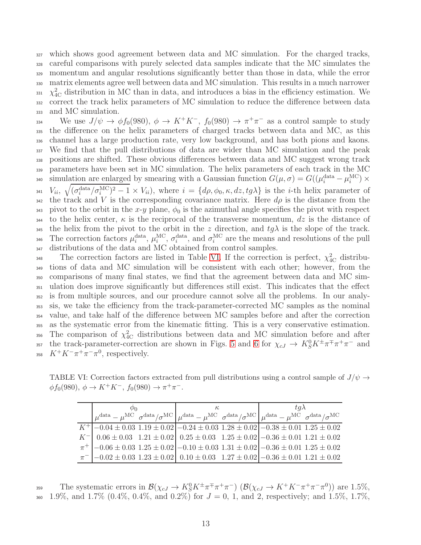which shows good agreement between data and MC simulation. For the charged tracks, careful comparisons with purely selected data samples indicate that the MC simulates the momentum and angular resolutions significantly better than those in data, while the error matrix elements agree well between data and MC simulation. This results in a much narrower  $\chi^2_{\rm 4C}$  distribution in MC than in data, and introduces a bias in the efficiency estimation. We correct the track helix parameters of MC simulation to reduce the difference between data and MC simulation.

We use  $J/\psi \to \phi f_0(980)$ ,  $\phi \to K^+K^-$ ,  $f_0(980) \to \pi^+\pi^-$  as a control sample to study <sup>335</sup> the difference on the helix parameters of charged tracks between data and MC, as this <sup>336</sup> channel has a large production rate, very low background, and has both pions and kaons. <sup>337</sup> We find that the pull distributions of data are wider than MC simulation and the peak <sup>338</sup> positions are shifted. These obvious differences between data and MC suggest wrong track <sup>339</sup> parameters have been set in MC simulation. The helix parameters of each track in the MC simulation are enlarged by smearing with a Gaussian function  $G(\mu, \sigma) = G((\mu_i^{\text{data}} - \mu_i^{\text{MC}}) \times$  $V_{ii}, \sqrt{(\sigma_i^{\text{data}}/\sigma_i^{\text{MC}})^2 - 1} \times V_{ii}$ , where  $i = \{d\rho, \phi_0, \kappa, dz, tg\lambda\}$  is the *i*-th helix parameter of 342 the track and V is the corresponding covariance matrix. Here  $d\rho$  is the distance from the 343 pivot to the orbit in the x-y plane,  $\phi_0$  is the azimuthal angle specifies the pivot with respect 344 to the helix center,  $\kappa$  is the reciprocal of the transverse momentum,  $dz$  is the distance of 345 the helix from the pivot to the orbit in the z direction, and  $tg\lambda$  is the slope of the track. 346 The correction factors  $\mu_i^{\text{data}}, \mu_i^{\text{MC}}, \sigma_i^{\text{data}},$  and  $\sigma_i^{\text{MC}}$  are the means and resolutions of the pull 347 distributions of the data and MC obtained from control samples.

 $_{348}$  The correction factors are listed in Table [VI.](#page-12-0) If the correction is perfect,  $\chi^{2}_{4C}$  distribu- tions of data and MC simulation will be consistent with each other; however, from the comparisons of many final states, we find that the agreement between data and MC sim- ulation does improve significantly but differences still exist. This indicates that the effect is from multiple sources, and our procedure cannot solve all the problems. In our analy- sis, we take the efficiency from the track-parameter-corrected MC samples as the nominal value, and take half of the difference between MC samples before and after the correction as the systematic error from the kinematic fitting. This is a very conservative estimation. 356 The comparison of  $\chi^2_{\text{4C}}$  distributions between data and MC simulation before and after <sup>357</sup> the track-parameter-correction are shown in Figs. [5](#page-13-0) and [6](#page-14-0) for  $\chi_{cJ} \to K_S^0 K^{\pm} \pi^{\mp} \pi^+ \pi^-$  and  $K^+K^-\pi^+\pi^-\pi^0$ , respectively.

TABLE VI: Correction factors extracted from pull distributions using a control sample of  $J/\psi \rightarrow$  $\phi f_0(980), \ \phi \to K^+K^-, \ f_0(980) \to \pi^+\pi^-.$ 

<span id="page-12-0"></span>

| $\varphi_0$                                                                                                                                      |  | $\kappa$ | $ta\lambda$                                                                                                                                                                                                                                             |  |  |
|--------------------------------------------------------------------------------------------------------------------------------------------------|--|----------|---------------------------------------------------------------------------------------------------------------------------------------------------------------------------------------------------------------------------------------------------------|--|--|
|                                                                                                                                                  |  |          | $\mu^{\text{data}} - \mu^{\text{MC}} \sigma^{\text{data}} / \sigma^{\text{MC}} \vert \mu^{\text{data}} - \mu^{\text{MC}} \sigma^{\text{data}} / \sigma^{\text{MC}} \vert \mu^{\text{data}} - \mu^{\text{MC}} \sigma^{\text{data}} / \sigma^{\text{MC}}$ |  |  |
| $K^+$ -0.04 $\pm$ 0.03 1.19 $\pm$ 0.02 -0.24 $\pm$ 0.03 1.28 $\pm$ 0.02 -0.38 $\pm$ 0.01 1.25 $\pm$ 0.02                                         |  |          |                                                                                                                                                                                                                                                         |  |  |
| $K^{-}$ 0.06 ± 0.03 1.21 ± 0.02 0.25 ± 0.03 1.25 ± 0.02 - 0.36 ± 0.01 1.21 ± 0.02                                                                |  |          |                                                                                                                                                                                                                                                         |  |  |
| $\pi^+$ -0.06 $\pm$ 0.03 1.25 $\pm$ 0.02 -0.10 $\pm$ 0.03 1.31 $\pm$ 0.02 -0.36 $\pm$ 0.01 1.25 $\pm$ 0.02                                       |  |          |                                                                                                                                                                                                                                                         |  |  |
| $\pi$ <sup>-</sup> $\left[-0.02 \pm 0.03 \, 1.23 \pm 0.02\right]$ $0.10 \pm 0.03$ $1.27 \pm 0.02$ $\left[-0.36 \pm 0.01 \, 1.21 \pm 0.02\right]$ |  |          |                                                                                                                                                                                                                                                         |  |  |

The systematic errors in  $\mathcal{B}(\chi_{cJ} \to K^0 g K^{\pm} \pi^{\mp} \pi^+ \pi^-)$   $(\mathcal{B}(\chi_{cJ} \to K^+ K^- \pi^+ \pi^- \pi^0))$  are 1.5%, 360 1.9%, and 1.7% (0.4%, 0.4%, and 0.2%) for  $J = 0, 1$ , and 2, respectively; and 1.5%, 1.7%,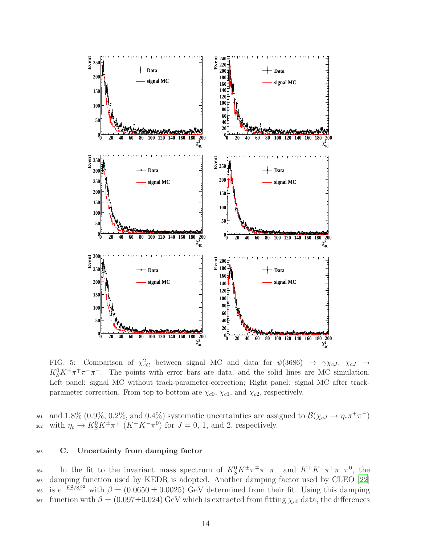

<span id="page-13-0"></span>FIG. 5: Comparison of  $\chi^2_{AC}$  between signal MC and data for  $\psi(3686) \rightarrow \gamma \chi_{cJ}$ ,  $\chi_{cJ} \rightarrow$  $K_S^0 K^{\pm} \pi^{\mp} \pi^+ \pi^-$ . The points with error bars are data, and the solid lines are MC simulation. Left panel: signal MC without track-parameter-correction; Right panel: signal MC after trackparameter-correction. From top to bottom are  $\chi_{c0}$ ,  $\chi_{c1}$ , and  $\chi_{c2}$ , respectively.

and 1.8%  $(0.9\%, 0.2\%, \text{and } 0.4\%)$  systematic uncertainties are assigned to  $\mathcal{B}(\chi_{cJ} \to \eta_c \pi^+ \pi^-)$ 362 with  $\eta_c \to K_S^0 K^{\pm} \pi^{\mp}$   $(K^+ K^- \pi^0)$  for  $J = 0, 1$ , and 2, respectively.

# <sup>363</sup> C. Uncertainty from damping factor

364 In the fit to the invariant mass spectrum of  $K_S^0 K^{\pm} \pi^{\mp} \pi^+ \pi^-$  and  $K^+ K^- \pi^+ \pi^- \pi^0$ , the <sup>365</sup> damping function used by KEDR is adopted. Another damping factor used by CLEO [\[22\]](#page-17-21) <sup>366</sup> is  $e^{-E_{\gamma}^2/8\beta^2}$  with  $\beta = (0.0650 \pm 0.0025)$  GeV determined from their fit. Using this damping 367 function with  $\beta = (0.097 \pm 0.024)$  GeV which is extracted from fitting  $\chi_{c0}$  data, the differences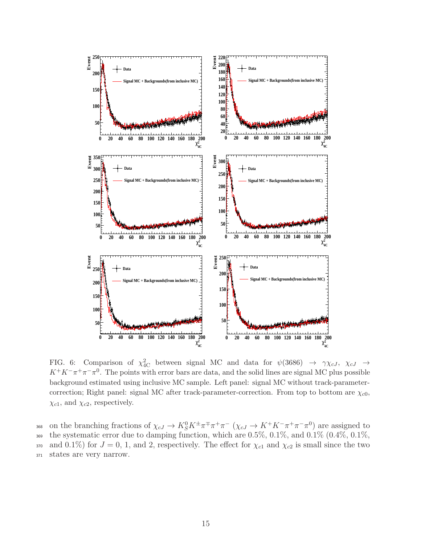

<span id="page-14-0"></span>FIG. 6: Comparison of  $\chi^2_{AC}$  between signal MC and data for  $\psi(3686) \rightarrow \gamma \chi_{cJ}$ ,  $\chi_{cJ} \rightarrow$  $K^+K^-\pi^+\pi^-\pi^0$ . The points with error bars are data, and the solid lines are signal MC plus possible background estimated using inclusive MC sample. Left panel: signal MC without track-parametercorrection; Right panel: signal MC after track-parameter-correction. From top to bottom are  $\chi_{c0}$ ,  $\chi_{c1}$ , and  $\chi_{c2}$ , respectively.

368 on the branching fractions of  $\chi_{cJ} \to K^0_S K^{\pm} \pi^{\mp} \pi^+ \pi^ (\chi_{cJ} \to K^+ K^- \pi^+ \pi^- \pi^0)$  are assigned to 369 the systematic error due to damping function, which are  $0.5\%$ ,  $0.1\%$ , and  $0.1\%$   $(0.4\%$ ,  $0.1\%$ , 370 and 0.1%) for  $J = 0, 1,$  and 2, respectively. The effect for  $\chi_{c1}$  and  $\chi_{c2}$  is small since the two <sup>371</sup> states are very narrow.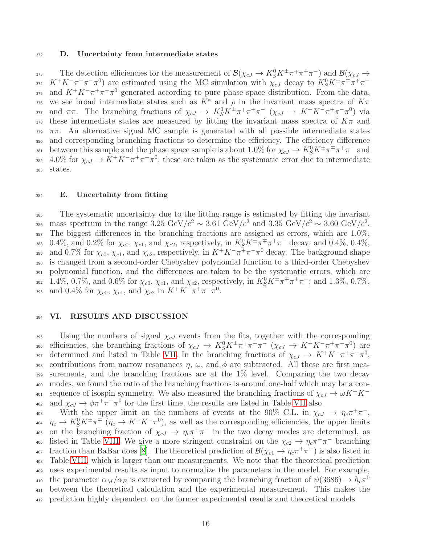### 372 D. Uncertainty from intermediate states

The detection efficiencies for the measurement of  $\mathcal{B}(\chi_{cJ} \to K_S^0 K^{\pm} \pi^{\mp} \pi^+ \pi^-)$  and  $\mathcal{B}(\chi_{cJ} \to$ <sup>374</sup>  $K^+K^-\pi^+\pi^-\pi^0$  are estimated using the MC simulation with  $\chi_{cJ}$  decay to  $K_S^0K^{\pm}\pi^{\mp}\pi^+\pi^-$ 375 and  $K^+K^-\pi^+\pi^-\pi^0$  generated according to pure phase space distribution. From the data, 376 we see broad intermediate states such as  $K^*$  and  $\rho$  in the invariant mass spectra of  $K\pi$ and  $\pi\pi$ . The branching fractions of  $\chi_{cJ} \to K_S^0 K^{\pm} \pi^{\mp} \pi^+ \pi^ (\chi_{cJ} \to K^+ K^- \pi^+ \pi^- \pi^0)$  via 378 these intermediate states are measured by fitting the invariant mass spectra of  $K\pi$  and  $\pi\pi$ . An alternative signal MC sample is generated with all possible intermediate states <sup>380</sup> and corresponding branching fractions to determine the efficiency. The efficiency difference between this sample and the phase space sample is about 1.0% for  $\chi_{cJ} \to K_S^0 K^{\pm} \pi^{\mp} \pi^+ \pi^-$  and 382 4.0% for  $\chi_{cJ} \to K^+ K^- \pi^+ \pi^- \pi^0$ ; these are taken as the systematic error due to intermediate <sup>383</sup> states.

### <sup>384</sup> E. Uncertainty from fitting

<sup>385</sup> The systematic uncertainty due to the fitting range is estimated by fitting the invariant mass spectrum in the range 3.25 GeV/ $c^2 \sim 3.61$  GeV/ $c^2$  and 3.35 GeV/ $c^2 \sim 3.60$  GeV/ $c^2$ .  $387$  The biggest differences in the branching fractions are assigned as errors, which are  $1.0\%$ , 388 0.4%, and 0.2% for  $\chi_{c0}$ ,  $\chi_{c1}$ , and  $\chi_{c2}$ , respectively, in  $K_S^0 K^{\pm} \pi^{\mp} \pi^+ \pi^-$  decay; and 0.4%, 0.4%, and 0.7% for  $\chi_{c0}$ ,  $\chi_{c1}$ , and  $\chi_{c2}$ , respectively, in  $K^+K^-\pi^+\pi^-\pi^0$  decay. The background shape <sup>390</sup> is changed from a second-order Chebyshev polynomial function to a third-order Chebyshev <sup>391</sup> polynomial function, and the differences are taken to be the systematic errors, which are 392 1.4%, 0.7%, and 0.6% for  $\chi_{c0}$ ,  $\chi_{c1}$ , and  $\chi_{c2}$ , respectively, in  $K_S^0 K^{\pm} \pi^{\mp} \pi^+ \pi^-$ ; and 1.3%, 0.7%, 393 and 0.4% for  $\chi_{c0}$ ,  $\chi_{c1}$ , and  $\chi_{c2}$  in  $K^+K^-\pi^+\pi^-\pi^0$ .

# 394 VI. RESULTS AND DISCUSSION

 $395$  Using the numbers of signal  $\chi_{cJ}$  events from the fits, together with the corresponding  $\mathcal{L}_{s}$  efficiencies, the branching fractions of  $\chi_{cJ} \to K_S^0 K^{\pm} \pi^{\mp} \pi^+ \pi^ (\chi_{cJ} \to K^+ K^- \pi^+ \pi^- \pi^0)$  are 397 determined and listed in Table [VII.](#page-16-0) In the branching fractions of  $\chi_{cJ} \to K^+ K^- \pi^+ \pi^- \pi^0$ , 398 contributions from narrow resonances  $\eta$ ,  $\omega$ , and  $\phi$  are subtracted. All these are first mea-<sup>399</sup> surements, and the branching fractions are at the 1% level. Comparing the two decay <sup>400</sup> modes, we found the ratio of the branching fractions is around one-half which may be a con-<sup>401</sup> sequence of isospin symmetry. We also measured the branching fractions of  $\chi_{cJ} \to \omega K^+ K^ \lim_{\alpha \to 2} \text{ and } \chi_{cJ} \to \phi \pi^+ \pi^- \pi^0$  for the first time, the results are listed in Table [VII](#page-16-0) also.

With the upper limit on the numbers of events at the 90% C.L. in  $\chi_{cJ} \to \eta_c \pi^+ \pi^-$ , <sup>404</sup>  $\eta_c \to K_S^0 K^{\pm} \pi^{\mp}$  ( $\eta_c \to K^+ K^- \pi^0$ ), as well as the corresponding efficiencies, the upper limits 405 on the branching fraction of  $\chi_{cJ} \to \eta_c \pi^+ \pi^-$  in the two decay modes are determined, as 406 listed in Table [VIII.](#page-16-1) We give a more stringent constraint on the  $\chi_{c2} \to \eta_c \pi^+ \pi^-$  branching  $f(x_{c1} \rightarrow \eta_c \pi^+ \pi^-)$  is also listed in <sup>408</sup> Table [VIII,](#page-16-1) which is larger than our measurements. We note that the theoretical prediction <sup>409</sup> uses experimental results as input to normalize the parameters in the model. For example, the parameter  $\alpha_M/\alpha_E$  is extracted by comparing the branching fraction of  $\psi(3686) \to h_c \pi^0$ 410 <sup>411</sup> between the theoretical calculation and the experimental measurement. This makes the <sup>412</sup> prediction highly dependent on the former experimental results and theoretical models.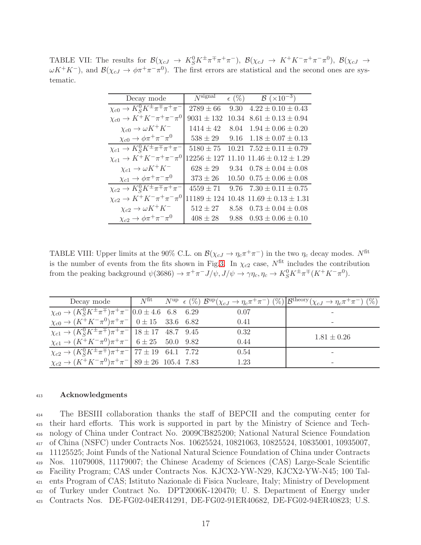TABLE VII: The results for  $\mathcal{B}(\chi_{cJ} \to K_S^0 K^{\pm} \pi^{\mp} \pi^+ \pi^-)$ ,  $\mathcal{B}(\chi_{cJ} \to K^+ K^- \pi^+ \pi^- \pi^0)$ ,  $\mathcal{B}(\chi_{cJ} \to$  $\omega K^+K^-$ ), and  $\mathcal{B}(\chi_{cJ}\to \phi\pi^+\pi^-\pi^0)$ . The first errors are statistical and the second ones are systematic.

<span id="page-16-0"></span>

| Decay mode                                                                 | $N$ signal      |       | $\epsilon$ (%) $\mathcal{B}$ (×10 <sup>-3</sup> ) |
|----------------------------------------------------------------------------|-----------------|-------|---------------------------------------------------|
| $\chi_{c0} \to K_S^0 K^{\pm} \pi^{\mp} \pi^+ \pi^-$                        | $2789 \pm 66$   | 9.30  | $4.22 \pm 0.10 \pm 0.43$                          |
| $\chi_{c0} \to K^+ K^- \pi^+ \pi^- \pi^0$                                  | $9031 \pm 132$  | 10.34 | $8.61 \pm 0.13 \pm 0.94$                          |
| $\chi_{c0}\rightarrow \omega K^+K^-$                                       | $1414 \pm 42$   | 8.04  | $1.94 \pm 0.06 \pm 0.20$                          |
| $\chi_{c0}\rightarrow \phi \pi^+\pi^-\pi^0$                                | $538 \pm 29$    |       | 9.16 $1.18 \pm 0.07 \pm 0.13$                     |
| $\chi_{c1}\rightarrow K^0_S K^{\overline{\pm}\pi\overline{\mp}\pi^+\pi^-}$ | $5180 \pm 75$   |       | $10.21$ $7.52 \pm 0.11 \pm 0.79$                  |
| $\chi_{c1}\to K^+K^-\pi^+\pi^-\pi^0$                                       | $12256 \pm 127$ |       | 11.10 $11.46 \pm 0.12 \pm 1.29$                   |
| $\chi_{c1}\rightarrow \omega K^+K^-$                                       | $628\pm29$      |       | 9.34 $0.78 \pm 0.04 \pm 0.08$                     |
| $\chi_{c1}\rightarrow \phi \pi^+\pi^-\pi^0$                                | $373\pm26$      |       | $10.50 \quad 0.75 \pm 0.06 \pm 0.08$              |
| $\chi_{c2} \to K_S^0 K^{\pm} \pi^{\mp} \pi^+ \pi^-$                        | $4559 \pm 71$   |       | 9.76 $7.30 \pm 0.11 \pm 0.75$                     |
| $\chi_{c2}\to K^+K^-\pi^+\pi^-\pi^0$                                       | $11189 \pm 124$ |       | $10.48$ $11.69 \pm 0.13 \pm 1.31$                 |
| $\chi_{c2}\to \omega K^+K^-$                                               | $512\pm27$      |       | 8.58 $0.73 \pm 0.04 \pm 0.08$                     |
| $\chi_{c2}\to \phi \pi^+\pi^-\pi^0$                                        | $408\pm28$      |       | 9.88 $0.93 \pm 0.06 \pm 0.10$                     |

<span id="page-16-1"></span>TABLE VIII: Upper limits at the 90% C.L. on  $\mathcal{B}(\chi_{cJ} \to \eta_c \pi^+ \pi^-)$  in the two  $\eta_c$  decay modes. N<sup>fit</sup> is the number of events from the fits shown in Fig[.3.](#page-9-0) In  $\chi_{c2}$  case,  $N^{\text{fit}}$  includes the contribution from the peaking background  $\psi(3686) \to \pi^+\pi^- J/\psi, J/\psi \to \gamma\eta_c, \eta_c \to K_S^0 K^{\pm}\pi^{\mp} (K^+K^-\pi^0)$ .

|                                                                                                 |  |      | Decay mode $N^{\text{fit}}$ $N^{\text{up}} \in (\%)$ $\mathcal{B}^{\text{up}}(\chi_{cJ} \to \eta_c \pi^+ \pi^-)$ $(\%)$ $\mathcal{B}^{\text{theory}}(\chi_{cJ} \to \eta_c \pi^+ \pi^-)$ $(\%)$ |
|-------------------------------------------------------------------------------------------------|--|------|------------------------------------------------------------------------------------------------------------------------------------------------------------------------------------------------|
| $\chi_{c0} \rightarrow (K_S^0 K^{\pm} \pi^{\mp}) \pi^+ \pi^-  0.0 \pm 4.6 \quad 6.8 \quad 6.29$ |  | 0.07 |                                                                                                                                                                                                |
| $\chi_{c0} \rightarrow (K^+ K^- \pi^0) \pi^+ \pi^-$ 0 ± 15 33.6 6.82                            |  | 0.41 |                                                                                                                                                                                                |
| $\chi_{c1} \rightarrow (K_S^0 K^{\pm} \pi^{\mp}) \pi^+ \pi^-$ 18 ± 17 48.7 9.45                 |  | 0.32 | $1.81 \pm 0.26$                                                                                                                                                                                |
| $\chi_{c1} \rightarrow (K^+ K^- \pi^0) \pi^+ \pi^-$ 6 ± 25 50.0 9.82                            |  | 0.44 |                                                                                                                                                                                                |
| $\chi_{c2} \rightarrow (K_S^0 K^{\pm} \pi^{\mp}) \pi^+ \pi^-$ 77 ± 19 64.1 7.72                 |  | 0.54 |                                                                                                                                                                                                |
| $\chi_{c2} \rightarrow (K^+ K^- \pi^0) \pi^+ \pi^-$ 89 ± 26 105.4 7.83                          |  | 1.23 |                                                                                                                                                                                                |

### <sup>413</sup> Acknowledgments

 The BESIII collaboration thanks the staff of BEPCII and the computing center for their hard efforts. This work is supported in part by the Ministry of Science and Tech- nology of China under Contract No. 2009CB825200; National Natural Science Foundation of China (NSFC) under Contracts Nos. 10625524, 10821063, 10825524, 10835001, 10935007, 11125525; Joint Funds of the National Natural Science Foundation of China under Contracts Nos. 11079008, 11179007; the Chinese Academy of Sciences (CAS) Large-Scale Scientific Facility Program; CAS under Contracts Nos. KJCX2-YW-N29, KJCX2-YW-N45; 100 Tal- ents Program of CAS; Istituto Nazionale di Fisica Nucleare, Italy; Ministry of Development of Turkey under Contract No. DPT2006K-120470; U. S. Department of Energy under Contracts Nos. DE-FG02-04ER41291, DE-FG02-91ER40682, DE-FG02-94ER40823; U.S.